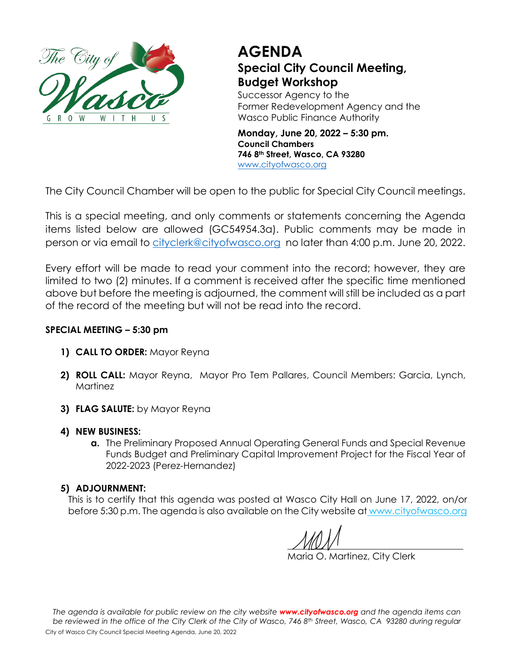

## **AGENDA Special City Council Meeting, Budget Workshop**

Successor Agency to the Former Redevelopment Agency and the Wasco Public Finance Authority

**Monday, June 20, 2022 – 5:30 pm. Council Chambers 746 8th Street, Wasco, CA 93280** [www.cityofwasco.org](http://www.cityofwasco.org/)

The City Council Chamber will be open to the public for Special City Council meetings.

This is a special meeting, and only comments or statements concerning the Agenda items listed below are allowed (GC54954.3a). Public comments may be made in person or via email to [cityclerk@cityofwasco.org](mailto:cityclerk@cityofwasco.org) no later than 4:00 p.m. June 20, 2022.

Every effort will be made to read your comment into the record; however, they are limited to two (2) minutes. If a comment is received after the specific time mentioned above but before the meeting is adjourned, the comment will still be included as a part of the record of the meeting but will not be read into the record.

## **SPECIAL MEETING – 5:30 pm**

- **1) CALL TO ORDER:** Mayor Reyna
- **2) ROLL CALL:** Mayor Reyna, Mayor Pro Tem Pallares, Council Members: Garcia, Lynch, Martinez
- **3) FLAG SALUTE:** by Mayor Reyna
- **4) NEW BUSINESS:**
	- **a.** The Preliminary Proposed Annual Operating General Funds and Special Revenue Funds Budget and Preliminary Capital Improvement Project for the Fiscal Year of 2022-2023 (Perez-Hernandez)

## **5) ADJOURNMENT:**

This is to certify that this agenda was posted at Wasco City Hall on June 17, 2022, on/or before 5:30 p.m. The agenda is also available on the City website at www.cityofwasco.org

 $\angle$   $V$   $\cup$   $V$   $\cup$ 

Maria O. Martinez, City Clerk

*The agenda is available for public review on the city website [www.cityofwasco.org](http://www.cityofwasco.org/) and the agenda items can be reviewed in the office of the City Clerk of the City of Wasco, 746 8th Street, Wasco, CA 93280 during regular*